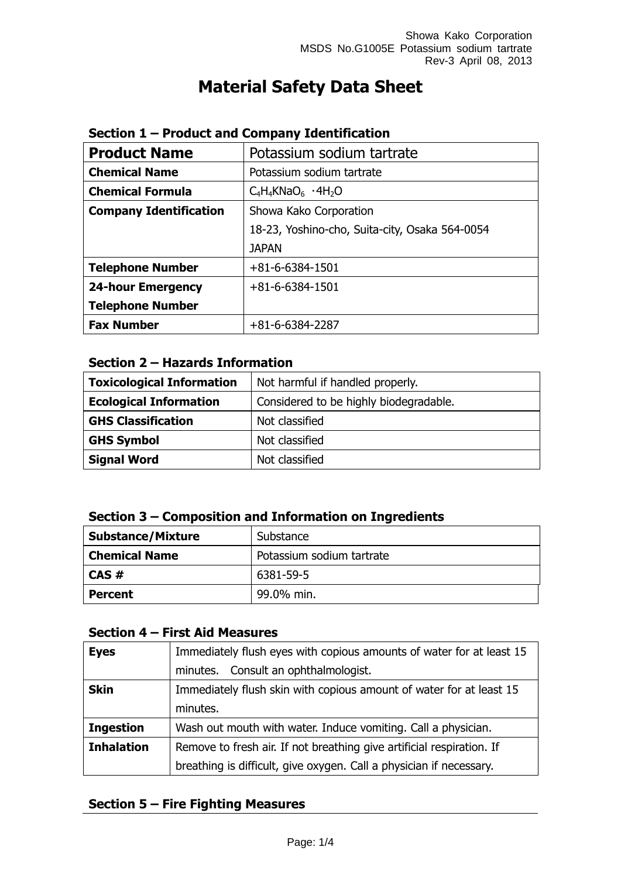# **Material Safety Data Sheet**

| <b>Product Name</b>           | Potassium sodium tartrate                      |
|-------------------------------|------------------------------------------------|
| <b>Chemical Name</b>          | Potassium sodium tartrate                      |
| <b>Chemical Formula</b>       | $C_4H_4KNaO_6$ · $4H_2O$                       |
| <b>Company Identification</b> | Showa Kako Corporation                         |
|                               | 18-23, Yoshino-cho, Suita-city, Osaka 564-0054 |
|                               | <b>JAPAN</b>                                   |
| <b>Telephone Number</b>       | $+81 - 6 - 6384 - 1501$                        |
| <b>24-hour Emergency</b>      | $+81 - 6 - 6384 - 1501$                        |
| <b>Telephone Number</b>       |                                                |
| <b>Fax Number</b>             | $+81-6-6384-2287$                              |

### **Section 1 – Product and Company Identification**

## **Section 2 – Hazards Information**

| <b>Toxicological Information</b>                                        | Not harmful if handled properly. |
|-------------------------------------------------------------------------|----------------------------------|
| Considered to be highly biodegradable.<br><b>Ecological Information</b> |                                  |
| <b>GHS Classification</b>                                               | Not classified                   |
| <b>GHS Symbol</b>                                                       | Not classified                   |
| <b>Signal Word</b>                                                      | Not classified                   |

### **Section 3 – Composition and Information on Ingredients**

| <b>Substance/Mixture</b>          | Substance                 |
|-----------------------------------|---------------------------|
| <b>Chemical Name</b>              | Potassium sodium tartrate |
| $\overline{\phantom{a}}$ CAS $\#$ | 6381-59-5                 |
| <b>Percent</b>                    | 99.0% min.                |

### **Section 4 – First Aid Measures**

| <b>Eyes</b>       | Immediately flush eyes with copious amounts of water for at least 15  |  |
|-------------------|-----------------------------------------------------------------------|--|
|                   | minutes. Consult an ophthalmologist.                                  |  |
| <b>Skin</b>       | Immediately flush skin with copious amount of water for at least 15   |  |
|                   | minutes.                                                              |  |
| <b>Ingestion</b>  | Wash out mouth with water. Induce vomiting. Call a physician.         |  |
| <b>Inhalation</b> | Remove to fresh air. If not breathing give artificial respiration. If |  |
|                   | breathing is difficult, give oxygen. Call a physician if necessary.   |  |

## **Section 5 – Fire Fighting Measures**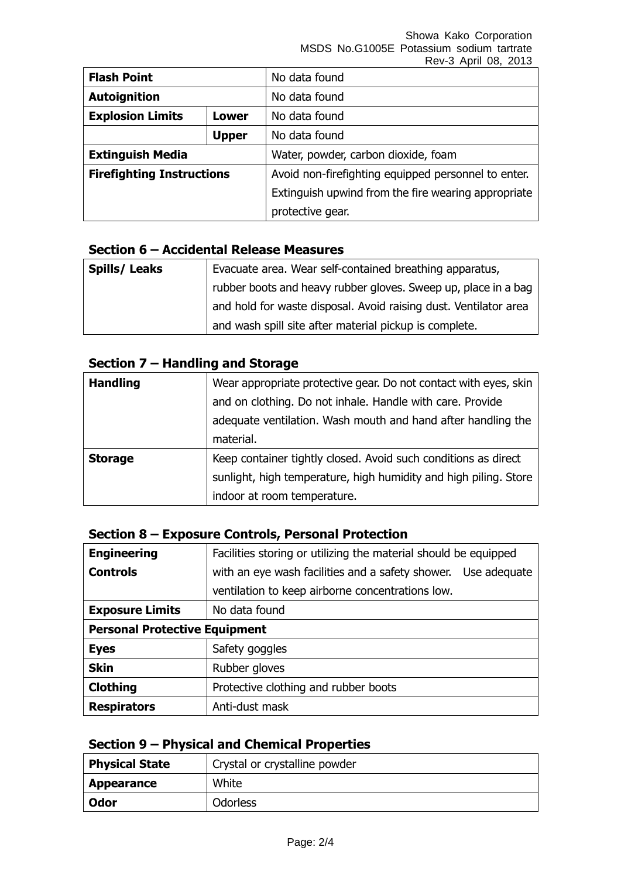Showa Kako Corporation MSDS No.G1005E Potassium sodium tartrate Rev-3 April 08, 2013

| <b>Flash Point</b>               |              | No data found                                       |
|----------------------------------|--------------|-----------------------------------------------------|
| <b>Autoignition</b>              |              | No data found                                       |
| <b>Explosion Limits</b><br>Lower |              | No data found                                       |
|                                  | <b>Upper</b> | No data found                                       |
| <b>Extinguish Media</b>          |              | Water, powder, carbon dioxide, foam                 |
| <b>Firefighting Instructions</b> |              | Avoid non-firefighting equipped personnel to enter. |
|                                  |              | Extinguish upwind from the fire wearing appropriate |
|                                  |              | protective gear.                                    |

### **Section 6 – Accidental Release Measures**

| <b>Spills/Leaks</b> | Evacuate area. Wear self-contained breathing apparatus,          |
|---------------------|------------------------------------------------------------------|
|                     | rubber boots and heavy rubber gloves. Sweep up, place in a bag   |
|                     | and hold for waste disposal. Avoid raising dust. Ventilator area |
|                     | and wash spill site after material pickup is complete.           |

## **Section 7 – Handling and Storage**

| <b>Handling</b> | Wear appropriate protective gear. Do not contact with eyes, skin |
|-----------------|------------------------------------------------------------------|
|                 | and on clothing. Do not inhale. Handle with care. Provide        |
|                 | adequate ventilation. Wash mouth and hand after handling the     |
|                 | material.                                                        |
| <b>Storage</b>  | Keep container tightly closed. Avoid such conditions as direct   |
|                 | sunlight, high temperature, high humidity and high piling. Store |
|                 | indoor at room temperature.                                      |

## **Section 8 – Exposure Controls, Personal Protection**

| <b>Engineering</b>                   | Facilities storing or utilizing the material should be equipped |  |
|--------------------------------------|-----------------------------------------------------------------|--|
| <b>Controls</b>                      | with an eye wash facilities and a safety shower. Use adequate   |  |
|                                      | ventilation to keep airborne concentrations low.                |  |
| <b>Exposure Limits</b>               | No data found                                                   |  |
| <b>Personal Protective Equipment</b> |                                                                 |  |
| <b>Eyes</b>                          | Safety goggles                                                  |  |
| <b>Skin</b>                          | Rubber gloves                                                   |  |
| <b>Clothing</b>                      | Protective clothing and rubber boots                            |  |
| <b>Respirators</b>                   | Anti-dust mask                                                  |  |

## **Section 9 – Physical and Chemical Properties**

| <b>Physical State</b> | Crystal or crystalline powder |  |
|-----------------------|-------------------------------|--|
| <b>Appearance</b>     | White                         |  |
| Odor                  | <b>Odorless</b>               |  |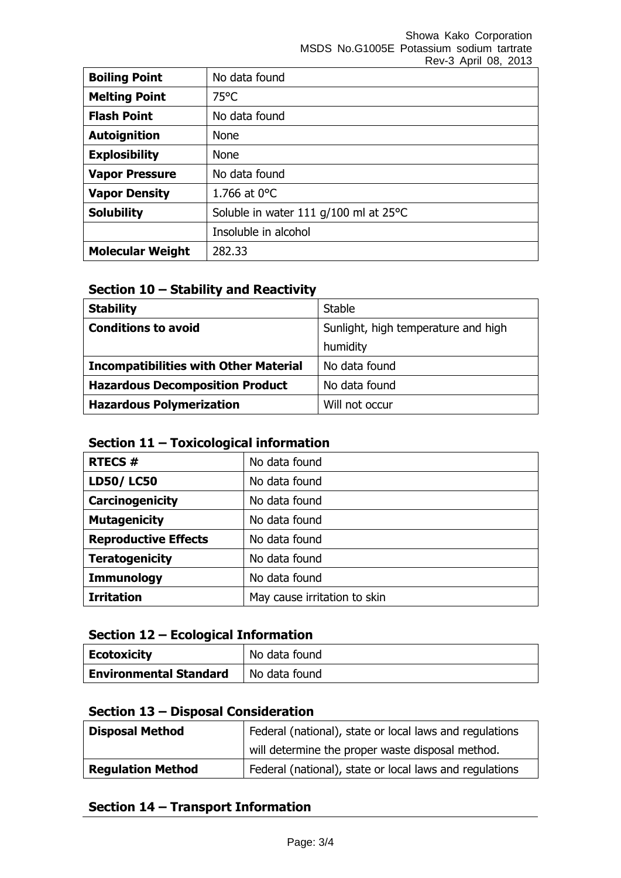Showa Kako Corporation MSDS No.G1005E Potassium sodium tartrate Rev-3 April 08, 2013

|                         | NEV-J APIII VO, ZUIJ                  |  |
|-------------------------|---------------------------------------|--|
| <b>Boiling Point</b>    | No data found                         |  |
| <b>Melting Point</b>    | 75°C                                  |  |
| <b>Flash Point</b>      | No data found                         |  |
| <b>Autoignition</b>     | <b>None</b>                           |  |
| <b>Explosibility</b>    | <b>None</b>                           |  |
| <b>Vapor Pressure</b>   | No data found                         |  |
| <b>Vapor Density</b>    | 1.766 at $0^{\circ}$ C                |  |
| <b>Solubility</b>       | Soluble in water 111 g/100 ml at 25°C |  |
|                         | Insoluble in alcohol                  |  |
| <b>Molecular Weight</b> | 282.33                                |  |

### **Section 10 – Stability and Reactivity**

| <b>Stability</b>                             | <b>Stable</b>                       |
|----------------------------------------------|-------------------------------------|
| <b>Conditions to avoid</b>                   | Sunlight, high temperature and high |
|                                              | humidity                            |
| <b>Incompatibilities with Other Material</b> | No data found                       |
| <b>Hazardous Decomposition Product</b>       | No data found                       |
| <b>Hazardous Polymerization</b>              | Will not occur                      |

### **Section 11 – Toxicological information**

| <b>RTECS #</b>              | No data found                |
|-----------------------------|------------------------------|
| <b>LD50/LC50</b>            | No data found                |
| Carcinogenicity             | No data found                |
| <b>Mutagenicity</b>         | No data found                |
| <b>Reproductive Effects</b> | No data found                |
| <b>Teratogenicity</b>       | No data found                |
| <b>Immunology</b>           | No data found                |
| <b>Irritation</b>           | May cause irritation to skin |

## **Section 12 – Ecological Information**

| Ecotoxicity                   | No data found |
|-------------------------------|---------------|
| <b>Environmental Standard</b> | No data found |

### **Section 13 – Disposal Consideration**

| <b>Disposal Method</b>   | Federal (national), state or local laws and regulations |
|--------------------------|---------------------------------------------------------|
|                          | will determine the proper waste disposal method.        |
| <b>Regulation Method</b> | Federal (national), state or local laws and regulations |

## **Section 14 – Transport Information**